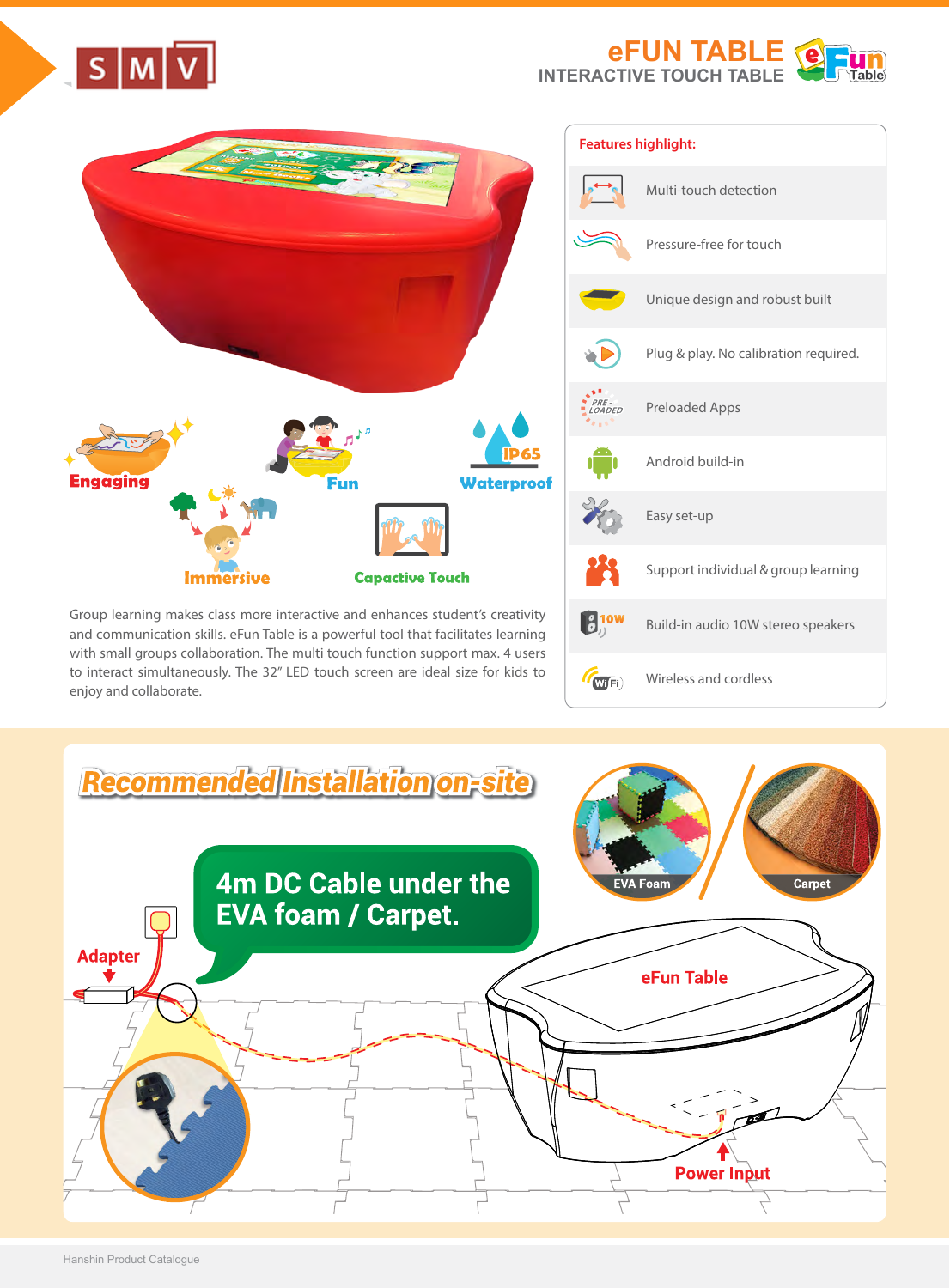

Wireless and cordless

WFi



to interact simultaneously. The 32" LED touch screen are ideal size for kids to enjoy and collaborate.



 $S$   $M$   $V$